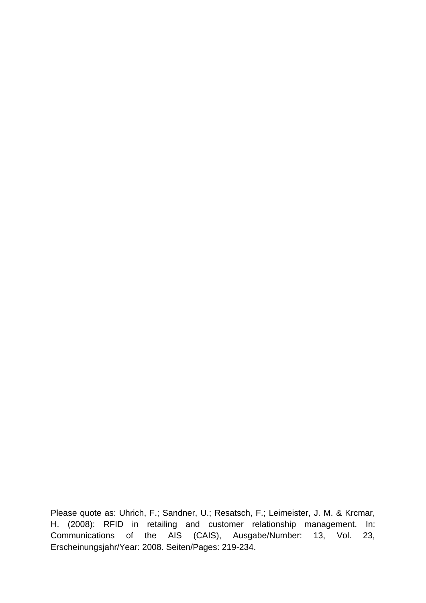Please quote as: Uhrich, F.; Sandner, U.; Resatsch, F.; Leimeister, J. M. & Krcmar, H. (2008): RFID in retailing and customer relationship management. In: Communications of the AIS (CAIS), Ausgabe/Number: 13, Vol. 23, Erscheinungsjahr/Year: 2008. Seiten/Pages: 219-234.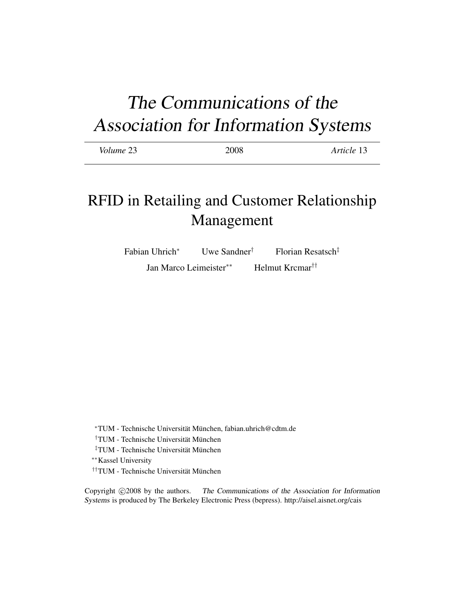# The Communications of the Association for Information Systems

| Volume 23 | 2008 | Article 13 |
|-----------|------|------------|
|           |      |            |

## RFID in Retailing and Customer Relationship Management

Fabian Uhrich<sup>∗</sup> Uwe Sandner† Florian Resatsch‡ Jan Marco Leimeister∗∗ Helmut Krcmar††

<sup>∗</sup>TUM - Technische Universitat M¨ unchen, fabian.uhrich@cdtm.de ¨

<sup>†</sup>TUM - Technische Universität München

<sup>‡</sup>TUM - Technische Universität München

∗∗Kassel University

††TUM - Technische Universität München

Copyright  $\odot$ 2008 by the authors. The Communications of the Association for Information Systems is produced by The Berkeley Electronic Press (bepress). http://aisel.aisnet.org/cais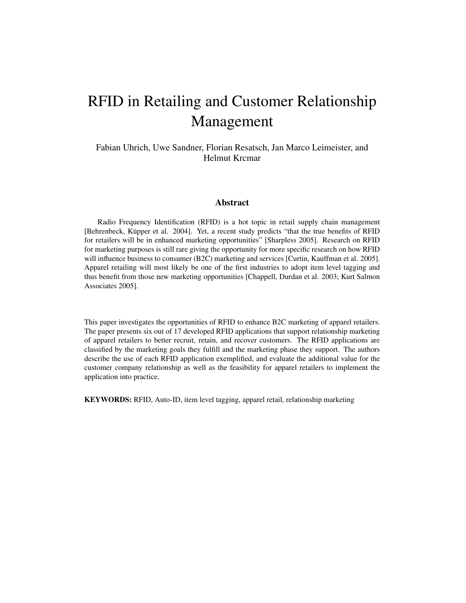## RFID in Retailing and Customer Relationship Management

#### Fabian Uhrich, Uwe Sandner, Florian Resatsch, Jan Marco Leimeister, and Helmut Krcmar

#### Abstract

Radio Frequency Identification (RFID) is a hot topic in retail supply chain management [Behrenbeck, Küpper et al. 2004]. Yet, a recent study predicts "that the true benefits of RFID for retailers will be in enhanced marketing opportunities" [Sharpless 2005]. Research on RFID for marketing purposes is still rare giving the opportunity for more specific research on how RFID will influence business to consumer (B2C) marketing and services [Curtin, Kauffman et al. 2005]. Apparel retailing will most likely be one of the first industries to adopt item level tagging and thus benefit from those new marketing opportunities [Chappell, Durdan et al. 2003; Kurt Salmon Associates 2005].

This paper investigates the opportunities of RFID to enhance B2C marketing of apparel retailers. The paper presents six out of 17 developed RFID applications that support relationship marketing of apparel retailers to better recruit, retain, and recover customers. The RFID applications are classified by the marketing goals they fulfill and the marketing phase they support. The authors describe the use of each RFID application exemplified, and evaluate the additional value for the customer company relationship as well as the feasibility for apparel retailers to implement the application into practice.

KEYWORDS: RFID, Auto-ID, item level tagging, apparel retail, relationship marketing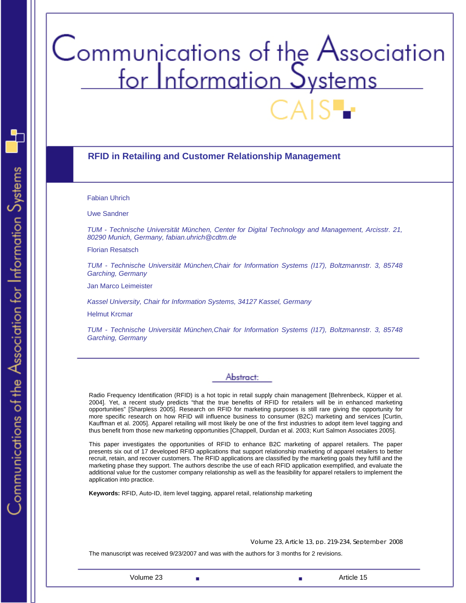# Communications of the Association<br>for Information Systems

#### **RFID in Retailing and Customer Relationship Management**

Fabian Uhrich

Uwe Sandner

*TUM - Technische Universität München, Center for Digital Technology and Management, Arcisstr. 21, 80290 Munich, Germany, fabian.uhrich@cdtm.de* 

Florian Resatsch

*TUM - Technische Universität München,Chair for Information Systems (I17), Boltzmannstr. 3, 85748 Garching, Germany* 

Jan Marco Leimeister

*Kassel University, Chair for Information Systems, 34127 Kassel, Germany* 

Helmut Krcmar

*TUM - Technische Universität München,Chair for Information Systems (I17), Boltzmannstr. 3, 85748 Garching, Germany* 

#### Abstract:

Radio Frequency Identification (RFID) is a hot topic in retail supply chain management [Behrenbeck, Küpper et al. 2004]. Yet, a recent study predicts "that the true benefits of RFID for retailers will be in enhanced marketing opportunities" [Sharpless 2005]. Research on RFID for marketing purposes is still rare giving the opportunity for more specific research on how RFID will influence business to consumer (B2C) marketing and services [Curtin, Kauffman et al. 2005]. Apparel retailing will most likely be one of the first industries to adopt item level tagging and thus benefit from those new marketing opportunities [Chappell, Durdan et al. 2003; Kurt Salmon Associates 2005].

This paper investigates the opportunities of RFID to enhance B2C marketing of apparel retailers. The paper presents six out of 17 developed RFID applications that support relationship marketing of apparel retailers to better recruit, retain, and recover customers. The RFID applications are classified by the marketing goals they fulfill and the marketing phase they support. The authors describe the use of each RFID application exemplified, and evaluate the additional value for the customer company relationship as well as the feasibility for apparel retailers to implement the application into practice.

**Keywords:** RFID, Auto-ID, item level tagging, apparel retail, relationship marketing

Volume 23, Article 13, pp. 219-234, September 2008

The manuscript was received 9/23/2007 and was with the authors for 3 months for 2 revisions.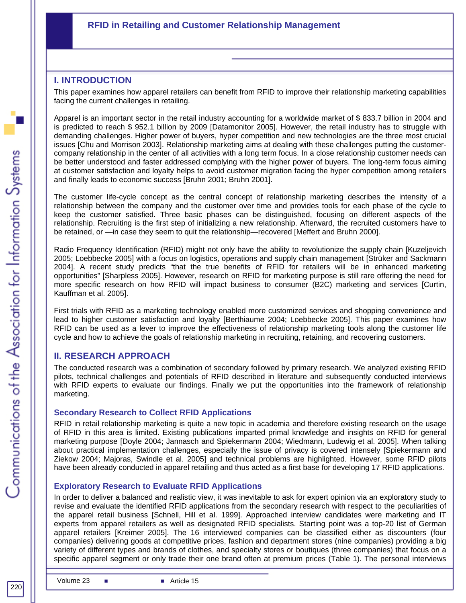#### **RFID in Retailing and Customer Relationship Management**

#### **I. INTRODUCTION**

This paper examines how apparel retailers can benefit from RFID to improve their relationship marketing capabilities facing the current challenges in retailing.

Apparel is an important sector in the retail industry accounting for a worldwide market of \$ 833.7 billion in 2004 and is predicted to reach \$ 952.1 billion by 2009 [Datamonitor 2005]. However, the retail industry has to struggle with demanding challenges. Higher power of buyers, hyper competition and new technologies are the three most crucial issues [Chu and Morrison 2003]. Relationship marketing aims at dealing with these challenges putting the customercompany relationship in the center of all activities with a long term focus. In a close relationship customer needs can be better understood and faster addressed complying with the higher power of buyers. The long-term focus aiming at customer satisfaction and loyalty helps to avoid customer migration facing the hyper competition among retailers and finally leads to economic success [Bruhn 2001; Bruhn 2001].

The customer life-cycle concept as the central concept of relationship marketing describes the intensity of a relationship between the company and the customer over time and provides tools for each phase of the cycle to keep the customer satisfied. Three basic phases can be distinguished, focusing on different aspects of the relationship. Recruiting is the first step of initializing a new relationship. Afterward, the recruited customers have to be retained, or —in case they seem to quit the relationship—recovered [Meffert and Bruhn 2000].

Radio Frequency Identification (RFID) might not only have the ability to revolutionize the supply chain [Kuzeljevich 2005; Loebbecke 2005] with a focus on logistics, operations and supply chain management [Strüker and Sackmann 2004]. A recent study predicts "that the true benefits of RFID for retailers will be in enhanced marketing opportunities" [Sharpless 2005]. However, research on RFID for marketing purpose is still rare offering the need for more specific research on how RFID will impact business to consumer (B2C) marketing and services [Curtin, Kauffman et al. 2005].

First trials with RFID as a marketing technology enabled more customized services and shopping convenience and lead to higher customer satisfaction and loyalty [Berthiaume 2004; Loebbecke 2005]. This paper examines how RFID can be used as a lever to improve the effectiveness of relationship marketing tools along the customer life cycle and how to achieve the goals of relationship marketing in recruiting, retaining, and recovering customers.

#### **II. RESEARCH APPROACH**

The conducted research was a combination of secondary followed by primary research. We analyzed existing RFID pilots, technical challenges and potentials of RFID described in literature and subsequently conducted interviews with RFID experts to evaluate our findings. Finally we put the opportunities into the framework of relationship marketing.

#### **Secondary Research to Collect RFID Applications**

RFID in retail relationship marketing is quite a new topic in academia and therefore existing research on the usage of RFID in this area is limited. Existing publications imparted primal knowledge and insights on RFID for general marketing purpose [Doyle 2004; Jannasch and Spiekermann 2004; Wiedmann, Ludewig et al. 2005]. When talking about practical implementation challenges, especially the issue of privacy is covered intensely [Spiekermann and Ziekow 2004; Majoras, Swindle et al. 2005] and technical problems are highlighted. However, some RFID pilots have been already conducted in apparel retailing and thus acted as a first base for developing 17 RFID applications.

#### **Exploratory Research to Evaluate RFID Applications**

In order to deliver a balanced and realistic view, it was inevitable to ask for expert opinion via an exploratory study to revise and evaluate the identified RFID applications from the secondary research with respect to the peculiarities of the apparel retail business [Schnell, Hill et al. 1999]. Approached interview candidates were marketing and IT experts from apparel retailers as well as designated RFID specialists. Starting point was a top-20 list of German apparel retailers [Kreimer 2005]. The 16 interviewed companies can be classified either as discounters (four companies) delivering goods at competitive prices, fashion and department stores (nine companies) providing a big variety of different types and brands of clothes, and specialty stores or boutiques (three companies) that focus on a specific apparel segment or only trade their one brand often at premium prices (Table 1). The personal interviews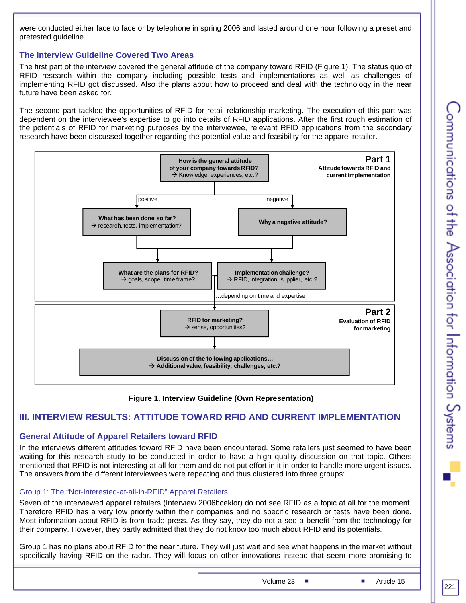were conducted either face to face or by telephone in spring 2006 and lasted around one hour following a preset and pretested guideline.

#### **The Interview Guideline Covered Two Areas**

The first part of the interview covered the general attitude of the company toward RFID (Figure 1). The status quo of RFID research within the company including possible tests and implementations as well as challenges of implementing RFID got discussed. Also the plans about how to proceed and deal with the technology in the near future have been asked for.

The second part tackled the opportunities of RFID for retail relationship marketing. The execution of this part was dependent on the interviewee's expertise to go into details of RFID applications. After the first rough estimation of the potentials of RFID for marketing purposes by the interviewee, relevant RFID applications from the secondary research have been discussed together regarding the potential value and feasibility for the apparel retailer.



**Figure 1. Interview Guideline (Own Representation)** 

#### **III. INTERVIEW RESULTS: ATTITUDE TOWARD RFID AND CURRENT IMPLEMENTATION**

#### **General Attitude of Apparel Retailers toward RFID**

In the interviews different attitudes toward RFID have been encountered. Some retailers just seemed to have been waiting for this research study to be conducted in order to have a high quality discussion on that topic. Others mentioned that RFID is not interesting at all for them and do not put effort in it in order to handle more urgent issues. The answers from the different interviewees were repeating and thus clustered into three groups:

#### Group 1: The "Not-Interested-at-all-in-RFID" Apparel Retailers

Seven of the interviewed apparel retailers (Interview 2006bceklor) do not see RFID as a topic at all for the moment. Therefore RFID has a very low priority within their companies and no specific research or tests have been done. Most information about RFID is from trade press. As they say, they do not a see a benefit from the technology for their company. However, they partly admitted that they do not know too much about RFID and its potentials.

Group 1 has no plans about RFID for the near future. They will just wait and see what happens in the market without specifically having RFID on the radar. They will focus on other innovations instead that seem more promising to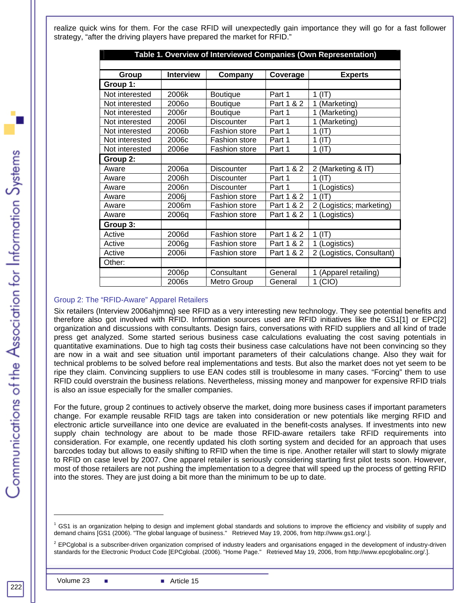realize quick wins for them. For the case RFID will unexpectedly gain importance they will go for a fast follower strategy, "after the driving players have prepared the market for RFID."

| Table 1. Overview of Interviewed Companies (Own Representation) |       |                                       |                             |                           |  |  |
|-----------------------------------------------------------------|-------|---------------------------------------|-----------------------------|---------------------------|--|--|
| <b>Interview</b><br>Group                                       |       | Company                               | Coverage                    | <b>Experts</b>            |  |  |
| Group 1:                                                        |       |                                       |                             |                           |  |  |
| Not interested                                                  | 2006k | Boutique                              | Part 1                      | 1 (IT)                    |  |  |
| Not interested                                                  | 2006o | Boutique                              | Part 1 & 2                  | (Marketing)<br>1          |  |  |
| Not interested                                                  | 2006r | Boutique                              | Part 1                      | (Marketing)               |  |  |
| Not interested                                                  | 2006I | Discounter                            | Part 1                      | (Marketing)               |  |  |
| Not interested                                                  | 2006b | <b>Fashion store</b>                  | Part 1                      | (IT)<br>1                 |  |  |
| Not interested                                                  | 2006c | <b>Fashion store</b>                  | Part 1                      | (IT)<br>1                 |  |  |
| Not interested                                                  | 2006e | Fashion store                         | Part 1                      | $1$ (IT)                  |  |  |
| Group 2:                                                        |       |                                       |                             |                           |  |  |
| Aware                                                           | 2006a | <b>Discounter</b>                     | Part 1 & 2                  | 2 (Marketing & IT)        |  |  |
| Aware                                                           | 2006h | Part 1<br><b>Discounter</b><br>1 (IT) |                             |                           |  |  |
| Aware                                                           | 2006n | <b>Discounter</b>                     | Part 1                      | 1 (Logistics)             |  |  |
| Aware                                                           | 2006i | Fashion store                         | Part 1 & 2                  | (IT)<br>1                 |  |  |
| Aware                                                           | 2006m | Fashion store                         | Part 1 & 2                  | 2 (Logistics; marketing)  |  |  |
| Aware                                                           | 2006q | Fashion store                         | Part 1 & 2                  | 1 (Logistics)             |  |  |
| Group 3:                                                        |       |                                       |                             |                           |  |  |
| Active                                                          | 2006d | <b>Fashion store</b>                  | Part 1 & 2<br>1 (IT)        |                           |  |  |
| Active                                                          | 2006g | <b>Fashion store</b>                  | Part 1 & 2<br>1 (Logistics) |                           |  |  |
| Active                                                          | 2006i | Fashion store                         | Part 1 & 2                  | 2 (Logistics, Consultant) |  |  |
| Other:                                                          |       |                                       |                             |                           |  |  |
|                                                                 | 2006p | Consultant                            | General                     | (Apparel retailing)       |  |  |
|                                                                 | 2006s | Metro Group                           | General                     | $1$ (CIO)                 |  |  |

#### Group 2: The "RFID-Aware" Apparel Retailers

Six retailers (Interview 2006ahjmnq) see RFID as a very interesting new technology. They see potential benefits and therefore also got involved with RFID. Information sources used are RFID initiatives like the GS1[1] or EPC[2] organization and discussions with consultants. Design fairs, conversations with RFID suppliers and all kind of trade press get analyzed. Some started serious business case calculations evaluating the cost saving potentials in quantitative examinations. Due to high tag costs their business case calculations have not been convincing so they are now in a wait and see situation until important parameters of their calculations change. Also they wait for technical problems to be solved before real implementations and tests. But also the market does not yet seem to be ripe they claim. Convincing suppliers to use EAN codes still is troublesome in many cases. "Forcing" them to use RFID could overstrain the business relations. Nevertheless, missing money and manpower for expensive RFID trials is also an issue especially for the smaller companies.

For the future, group 2 continues to actively observe the market, doing more business cases if important parameters change. For example reusable RFID tags are taken into consideration or new potentials like merging RFID and electronic article surveillance into one device are evaluated in the benefit-costs analyses. If investments into new supply chain technology are about to be made those RFID-aware retailers take RFID requirements into consideration. For example, one recently updated his cloth sorting system and decided for an approach that uses barcodes today but allows to easily shifting to RFID when the time is ripe. Another retailer will start to slowly migrate to RFID on case level by 2007. One apparel retailer is seriously considering starting first pilot tests soon. However, most of those retailers are not pushing the implementation to a degree that will speed up the process of getting RFID into the stores. They are just doing a bit more than the minimum to be up to date.

l

<sup>1</sup> GS1 is an organization helping to design and implement global standards and solutions to improve the efficiency and visibility of supply and demand chains [GS1 (2006). "The global language of business." Retrieved May 19, 2006, from http://www.gs1.org/.].

 $^2$  EPCglobal is a subscriber-driven organization comprised of industry leaders and organisations engaged in the development of industry-driven standards for the Electronic Product Code [EPCglobal. (2006). "Home Page." Retrieved May 19, 2006, from http://www.epcglobalinc.org/.].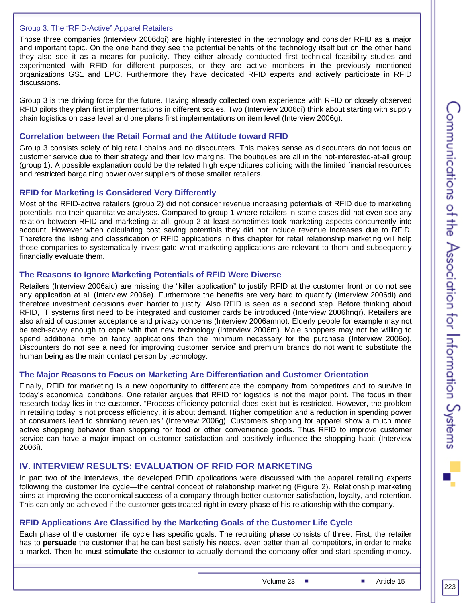#### Group 3: The "RFID-Active" Apparel Retailers

Those three companies (Interview 2006dgi) are highly interested in the technology and consider RFID as a major and important topic. On the one hand they see the potential benefits of the technology itself but on the other hand they also see it as a means for publicity. They either already conducted first technical feasibility studies and experimented with RFID for different purposes, or they are active members in the previously mentioned organizations GS1 and EPC. Furthermore they have dedicated RFID experts and actively participate in RFID discussions.

Group 3 is the driving force for the future. Having already collected own experience with RFID or closely observed RFID pilots they plan first implementations in different scales. Two (Interview 2006di) think about starting with supply chain logistics on case level and one plans first implementations on item level (Interview 2006g).

#### **Correlation between the Retail Format and the Attitude toward RFID**

Group 3 consists solely of big retail chains and no discounters. This makes sense as discounters do not focus on customer service due to their strategy and their low margins. The boutiques are all in the not-interested-at-all group (group 1). A possible explanation could be the related high expenditures colliding with the limited financial resources and restricted bargaining power over suppliers of those smaller retailers.

#### **RFID for Marketing Is Considered Very Differently**

Most of the RFID-active retailers (group 2) did not consider revenue increasing potentials of RFID due to marketing potentials into their quantitative analyses. Compared to group 1 where retailers in some cases did not even see any relation between RFID and marketing at all, group 2 at least sometimes took marketing aspects concurrently into account. However when calculating cost saving potentials they did not include revenue increases due to RFID. Therefore the listing and classification of RFID applications in this chapter for retail relationship marketing will help those companies to systematically investigate what marketing applications are relevant to them and subsequently financially evaluate them.

#### **The Reasons to Ignore Marketing Potentials of RFID Were Diverse**

Retailers (Interview 2006aiq) are missing the "killer application" to justify RFID at the customer front or do not see any application at all (Interview 2006e). Furthermore the benefits are very hard to quantify (Interview 2006di) and therefore investment decisions even harder to justify. Also RFID is seen as a second step. Before thinking about RFID, IT systems first need to be integrated and customer cards be introduced (Interview 2006hnqr). Retailers are also afraid of customer acceptance and privacy concerns (Interview 2006amno). Elderly people for example may not be tech-savvy enough to cope with that new technology (Interview 2006m). Male shoppers may not be willing to spend additional time on fancy applications than the minimum necessary for the purchase (Interview 2006o). Discounters do not see a need for improving customer service and premium brands do not want to substitute the human being as the main contact person by technology.

#### **The Major Reasons to Focus on Marketing Are Differentiation and Customer Orientation**

Finally, RFID for marketing is a new opportunity to differentiate the company from competitors and to survive in today's economical conditions. One retailer argues that RFID for logistics is not the major point. The focus in their research today lies in the customer. "Process efficiency potential does exist but is restricted. However, the problem in retailing today is not process efficiency, it is about demand. Higher competition and a reduction in spending power of consumers lead to shrinking revenues" (Interview 2006g). Customers shopping for apparel show a much more active shopping behavior than shopping for food or other convenience goods. Thus RFID to improve customer service can have a major impact on customer satisfaction and positively influence the shopping habit (Interview 2006i).

#### **IV. INTERVIEW RESULTS: EVALUATION OF RFID FOR MARKETING**

In part two of the interviews, the developed RFID applications were discussed with the apparel retailing experts following the customer life cycle—the central concept of relationship marketing (Figure 2). Relationship marketing aims at improving the economical success of a company through better customer satisfaction, loyalty, and retention. This can only be achieved if the customer gets treated right in every phase of his relationship with the company.

#### **RFID Applications Are Classified by the Marketing Goals of the Customer Life Cycle**

Each phase of the customer life cycle has specific goals. The recruiting phase consists of three. First, the retailer has to **persuade** the customer that he can best satisfy his needs, even better than all competitors, in order to make a market. Then he must **stimulate** the customer to actually demand the company offer and start spending money.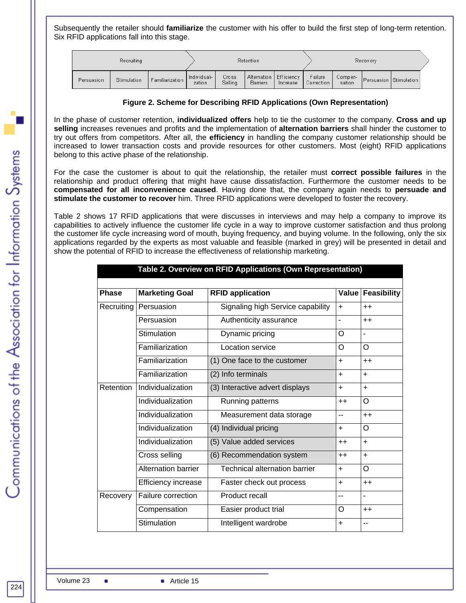Subsequently the retailer should **familiarize** the customer with his offer to build the first step of long-term retention. Six RFID applications fall into this stage.

|            | <b>Recruiting</b> |                 |                        |                  | Retention       |                                      |                       |                   | Recovery |                        |
|------------|-------------------|-----------------|------------------------|------------------|-----------------|--------------------------------------|-----------------------|-------------------|----------|------------------------|
| Persuasion | Stimulation       | Familiarization | Individuali-<br>zation | Cross<br>Selling | <b>Barriers</b> | Alternation   Efficiency<br>Increase | Failure<br>Correction | Compen-<br>sation |          | Persuasion Stimulation |

#### **Figure 2. Scheme for Describing RFID Applications (Own Representation)**

In the phase of customer retention, **individualized offers** help to tie the customer to the company. **Cross and up selling** increases revenues and profits and the implementation of **alternation barriers** shall hinder the customer to try out offers from competitors. After all, the **efficiency** in handling the company customer relationship should be increased to lower transaction costs and provide resources for other customers. Most (eight) RFID applications belong to this active phase of the relationship.

For the case the customer is about to quit the relationship, the retailer must **correct possible failures** in the relationship and product offering that might have cause dissatisfaction. Furthermore the customer needs to be **compensated for all inconvenience caused**. Having done that, the company again needs to **persuade and stimulate the customer to recover** him. Three RFID applications were developed to foster the recovery.

Table 2 shows 17 RFID applications that were discusses in interviews and may help a company to improve its capabilities to actively influence the customer life cycle in a way to improve customer satisfaction and thus prolong the customer life cycle increasing word of mouth, buying frequency, and buying volume. In the following, only the six applications regarded by the experts as most valuable and feasible (marked in grey) will be presented in detail and show the potential of RFID to increase the effectiveness of relationship marketing.

|              | Table 2. Overview on RFID Applications (Own Representation) |                                   |                          |                          |  |
|--------------|-------------------------------------------------------------|-----------------------------------|--------------------------|--------------------------|--|
|              |                                                             |                                   |                          |                          |  |
| <b>Phase</b> | <b>Marketing Goal</b>                                       | <b>RFID application</b>           | Value                    | <b>Feasibility</b>       |  |
| Recruiting   | Persuasion                                                  | Signaling high Service capability | $+$                      | $++$                     |  |
|              | Persuasion                                                  | Authenticity assurance            | $\overline{\phantom{0}}$ | $++$                     |  |
|              | Stimulation                                                 | Dynamic pricing                   | O                        | $\overline{\phantom{a}}$ |  |
|              | Familiarization                                             | Location service                  | O                        | $\Omega$                 |  |
|              | Familiarization                                             | (1) One face to the customer      | $\ddot{}$                | $++$                     |  |
|              | Familiarization                                             | (2) Info terminals                | $+$                      | $+$                      |  |
| Retention    | Individualization                                           | (3) Interactive advert displays   | $+$                      | $+$                      |  |
|              | Individualization                                           | Running patterns                  | $++$                     | $\Omega$                 |  |
|              | Individualization                                           | Measurement data storage          | $-$                      | $++$                     |  |
|              | Individualization                                           | (4) Individual pricing            | $+$                      | O                        |  |
|              | Individualization                                           | (5) Value added services          | $++$                     | $+$                      |  |
|              | Cross selling                                               | (6) Recommendation system         | $++$                     | $+$                      |  |
|              | <b>Alternation barrier</b>                                  | Technical alternation barrier     | $+$                      | O                        |  |
|              | Efficiency increase                                         | Faster check out process          | $+$                      | $++$                     |  |
| Recovery     | Failure correction                                          | Product recall                    | $-$                      | L.                       |  |
|              | Compensation                                                | Easier product trial              | O                        | $++$                     |  |
|              | Stimulation                                                 | Intelligent wardrobe              | $+$                      | --                       |  |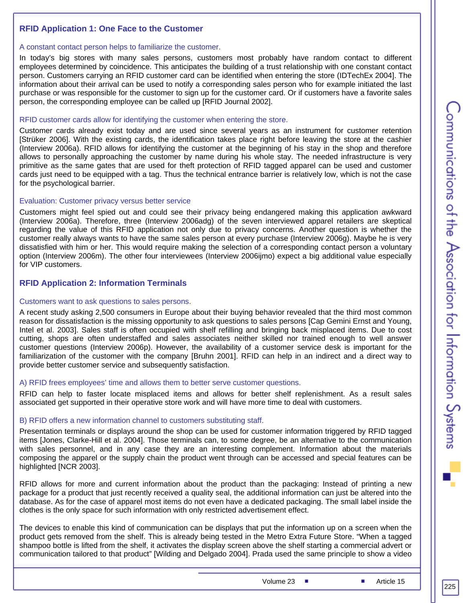#### **RFID Application 1: One Face to the Customer**

#### A constant contact person helps to familiarize the customer.

In today's big stores with many sales persons, customers most probably have random contact to different employees determined by coincidence. This anticipates the building of a trust relationship with one constant contact person. Customers carrying an RFID customer card can be identified when entering the store (IDTechEx 2004]. The information about their arrival can be used to notify a corresponding sales person who for example initiated the last purchase or was responsible for the customer to sign up for the customer card. Or if customers have a favorite sales person, the corresponding employee can be called up [RFID Journal 2002].

#### RFID customer cards allow for identifying the customer when entering the store.

Customer cards already exist today and are used since several years as an instrument for customer retention [Strüker 2006]. With the existing cards, the identification takes place right before leaving the store at the cashier (Interview 2006a). RFID allows for identifying the customer at the beginning of his stay in the shop and therefore allows to personally approaching the customer by name during his whole stay. The needed infrastructure is very primitive as the same gates that are used for theft protection of RFID tagged apparel can be used and customer cards just need to be equipped with a tag. Thus the technical entrance barrier is relatively low, which is not the case for the psychological barrier.

#### Evaluation: Customer privacy versus better service

Customers might feel spied out and could see their privacy being endangered making this application awkward (Interview 2006a). Therefore, three (Interview 2006adg) of the seven interviewed apparel retailers are skeptical regarding the value of this RFID application not only due to privacy concerns. Another question is whether the customer really always wants to have the same sales person at every purchase (Interview 2006g). Maybe he is very dissatisfied with him or her. This would require making the selection of a corresponding contact person a voluntary option (Interview 2006m). The other four interviewees (Interview 2006ijmo) expect a big additional value especially for VIP customers.

## **RFID Application 2: Information Terminals**

#### Customers want to ask questions to sales persons.

A recent study asking 2,500 consumers in Europe about their buying behavior revealed that the third most common reason for dissatisfaction is the missing opportunity to ask questions to sales persons [Cap Gemini Ernst and Young, Intel et al. 2003]. Sales staff is often occupied with shelf refilling and bringing back misplaced items. Due to cost cutting, shops are often understaffed and sales associates neither skilled nor trained enough to well answer customer questions (Interview 2006p). However, the availability of a customer service desk is important for the familiarization of the customer with the company [Bruhn 2001]. RFID can help in an indirect and a direct way to provide better customer service and subsequently satisfaction.

#### A) RFID frees employees' time and allows them to better serve customer questions.

RFID can help to faster locate misplaced items and allows for better shelf replenishment. As a result sales associated get supported in their operative store work and will have more time to deal with customers.

#### B) RFID offers a new information channel to customers substituting staff.

Presentation terminals or displays around the shop can be used for customer information triggered by RFID tagged items [Jones, Clarke-Hill et al. 2004]. Those terminals can, to some degree, be an alternative to the communication with sales personnel, and in any case they are an interesting complement. Information about the materials composing the apparel or the supply chain the product went through can be accessed and special features can be highlighted [NCR 2003].

RFID allows for more and current information about the product than the packaging: Instead of printing a new package for a product that just recently received a quality seal, the additional information can just be altered into the database. As for the case of apparel most items do not even have a dedicated packaging. The small label inside the clothes is the only space for such information with only restricted advertisement effect.

The devices to enable this kind of communication can be displays that put the information up on a screen when the product gets removed from the shelf. This is already being tested in the Metro Extra Future Store. "When a tagged shampoo bottle is lifted from the shelf, it activates the display screen above the shelf starting a commercial advert or communication tailored to that product" [Wilding and Delgado 2004]. Prada used the same principle to show a video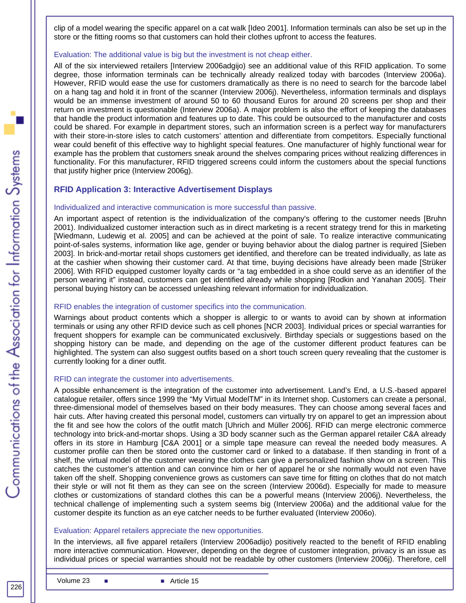clip of a model wearing the specific apparel on a cat walk [Ideo 2001]. Information terminals can also be set up in the store or the fitting rooms so that customers can hold their clothes upfront to access the features.

#### Evaluation: The additional value is big but the investment is not cheap either.

All of the six interviewed retailers [Interview 2006adgijo) see an additional value of this RFID application. To some degree, those information terminals can be technically already realized today with barcodes (Interview 2006a). However, RFID would ease the use for customers dramatically as there is no need to search for the barcode label on a hang tag and hold it in front of the scanner (Interview 2006j). Nevertheless, information terminals and displays would be an immense investment of around 50 to 60 thousand Euros for around 20 screens per shop and their return on investment is questionable (Interview 2006a). A major problem is also the effort of keeping the databases that handle the product information and features up to date. This could be outsourced to the manufacturer and costs could be shared. For example in department stores, such an information screen is a perfect way for manufacturers with their store-in-store isles to catch customers' attention and differentiate from competitors. Especially functional wear could benefit of this effective way to highlight special features. One manufacturer of highly functional wear for example has the problem that customers sneak around the shelves comparing prices without realizing differences in functionality. For this manufacturer, RFID triggered screens could inform the customers about the special functions that justify higher price (Interview 2006g).

#### **RFID Application 3: Interactive Advertisement Displays**

#### Individualized and interactive communication is more successful than passive.

An important aspect of retention is the individualization of the company's offering to the customer needs [Bruhn 2001). Individualized customer interaction such as in direct marketing is a recent strategy trend for this in marketing [Wiedmann, Ludewig et al. 2005] and can be achieved at the point of sale. To realize interactive communicating point-of-sales systems, information like age, gender or buying behavior about the dialog partner is required [Sieben 2003]. In brick-and-mortar retail shops customers get identified, and therefore can be treated individually, as late as at the cashier when showing their customer card. At that time, buying decisions have already been made [Strüker 2006]. With RFID equipped customer loyalty cards or "a tag embedded in a shoe could serve as an identifier of the person wearing it" instead, customers can get identified already while shopping [Rodkin and Yanahan 2005]. Their personal buying history can be accessed unleashing relevant information for individualization.

#### RFID enables the integration of customer specifics into the communication.

Warnings about product contents which a shopper is allergic to or wants to avoid can by shown at information terminals or using any other RFID device such as cell phones [NCR 2003]. Individual prices or special warranties for frequent shoppers for example can be communicated exclusively. Birthday specials or suggestions based on the shopping history can be made, and depending on the age of the customer different product features can be highlighted. The system can also suggest outfits based on a short touch screen query revealing that the customer is currently looking for a diner outfit.

#### RFID can integrate the customer into advertisements.

A possible enhancement is the integration of the customer into advertisement. Land's End, a U.S.-based apparel catalogue retailer, offers since 1999 the "My Virtual ModelTM" in its Internet shop. Customers can create a personal, three-dimensional model of themselves based on their body measures. They can choose among several faces and hair cuts. After having created this personal model, customers can virtually try on apparel to get an impression about the fit and see how the colors of the outfit match [Uhrich and Müller 2006]. RFID can merge electronic commerce technology into brick-and-mortar shops. Using a 3D body scanner such as the German apparel retailer C&A already offers in its store in Hamburg [C&A 2001] or a simple tape measure can reveal the needed body measures. A customer profile can then be stored onto the customer card or linked to a database. If then standing in front of a shelf, the virtual model of the customer wearing the clothes can give a personalized fashion show on a screen. This catches the customer's attention and can convince him or her of apparel he or she normally would not even have taken off the shelf. Shopping convenience grows as customers can save time for fitting on clothes that do not match their style or will not fit them as they can see on the screen (Interview 2006d). Especially for made to measure clothes or customizations of standard clothes this can be a powerful means (Interview 2006j). Nevertheless, the technical challenge of implementing such a system seems big (Interview 2006a) and the additional value for the customer despite its function as an eye catcher needs to be further evaluated (Interview 2006o).

#### Evaluation: Apparel retailers appreciate the new opportunities.

In the interviews, all five apparel retailers (Interview 2006adijo) positively reacted to the benefit of RFID enabling more interactive communication. However, depending on the degree of customer integration, privacy is an issue as individual prices or special warranties should not be readable by other customers (Interview 2006j). Therefore, cell

226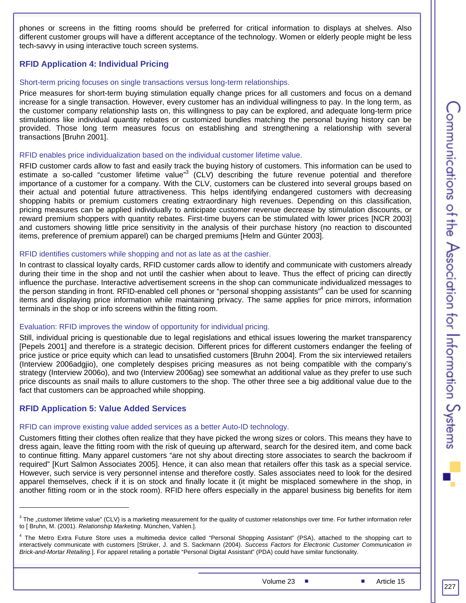phones or screens in the fitting rooms should be preferred for critical information to displays at shelves. Also different customer groups will have a different acceptance of the technology. Women or elderly people might be less tech-savvy in using interactive touch screen systems.

#### **RFID Application 4: Individual Pricing**

#### Short-term pricing focuses on single transactions versus long-term relationships.

Price measures for short-term buying stimulation equally change prices for all customers and focus on a demand increase for a single transaction. However, every customer has an individual willingness to pay. In the long term, as the customer company relationship lasts on, this willingness to pay can be explored, and adequate long-term price stimulations like individual quantity rebates or customized bundles matching the personal buying history can be provided. Those long term measures focus on establishing and strengthening a relationship with several transactions [Bruhn 2001].

#### RFID enables price individualization based on the individual customer lifetime value.

RFID customer cards allow to fast and easily track the buying history of customers. This information can be used to estimate a so-called "customer lifetime value"<sup>3</sup> (CLV) describing the future revenue potential and therefore importance of a customer for a company. With the CLV, customers can be clustered into several groups based on their actual and potential future attractiveness. This helps identifying endangered customers with decreasing shopping habits or premium customers creating extraordinary high revenues. Depending on this classification, pricing measures can be applied individually to anticipate customer revenue decrease by stimulation discounts, or reward premium shoppers with quantity rebates. First-time buyers can be stimulated with lower prices [NCR 2003] and customers showing little price sensitivity in the analysis of their purchase history (no reaction to discounted items, preference of premium apparel) can be charged premiums [Helm and Günter 2003].

#### RFID identifies customers while shopping and not as late as at the cashier.

In contrast to classical loyalty cards, RFID customer cards allow to identify and communicate with customers already during their time in the shop and not until the cashier when about to leave. Thus the effect of pricing can directly influence the purchase. Interactive advertisement screens in the shop can communicate individualized messages to the person standing in front. RFID-enabled cell phones or "personal shopping assistants"<sup>4</sup> can be used for scanning items and displaying price information while maintaining privacy. The same applies for price mirrors, information terminals in the shop or info screens within the fitting room.

#### Evaluation: RFID improves the window of opportunity for individual pricing.

Still, individual pricing is questionable due to legal regislations and ethical issues lowering the market transparency [Pepels 2001] and therefore is a strategic decision. Different prices for different customers endanger the feeling of price justice or price equity which can lead to unsatisfied customers [Bruhn 2004]. From the six interviewed retailers (Interview 2006adgjio), one completely despises pricing measures as not being compatible with the company's strategy (Interview 2006o), and two (Interview 2006ag) see somewhat an additional value as they prefer to use such price discounts as snail mails to allure customers to the shop. The other three see a big additional value due to the fact that customers can be approached while shopping.

#### **RFID Application 5: Value Added Services**

1

#### RFID can improve existing value added services as a better Auto-ID technology.

Customers fitting their clothes often realize that they have picked the wrong sizes or colors. This means they have to dress again, leave the fitting room with the risk of queuing up afterward, search for the desired item, and come back to continue fitting. Many apparel customers "are not shy about directing store associates to search the backroom if required" [Kurt Salmon Associates 2005]. Hence, it can also mean that retailers offer this task as a special service. However, such service is very personnel intense and therefore costly. Sales associates need to look for the desired apparel themselves, check if it is on stock and finally locate it (it might be misplaced somewhere in the shop, in another fitting room or in the stock room). RFID here offers especially in the apparel business big benefits for item

 $3$  The "customer lifetime value" (CLV) is a marketing measurement for the quality of customer relationships over time. For further information refer to [ Bruhn, M. (2001). *Relationship Marketing*. München, Vahlen.].

<sup>&</sup>lt;sup>4</sup> The Metro Extra Future Store uses a multimedia device called "Personal Shopping Assistant" (PSA), attached to the shopping cart to interactively communicate with customers [Strüker, J. and S. Sackmann (2004). *Success Factors for Electronic Customer Communication in Brick-and-Mortar Retailing.*]. For apparel retailing a portable "Personal Digital Assistant" (PDA) could have similar functionality.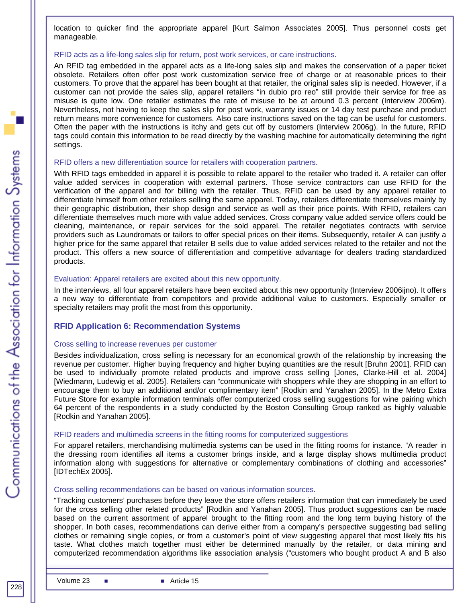location to quicker find the appropriate apparel [Kurt Salmon Associates 2005]. Thus personnel costs get manageable.

#### RFID acts as a life-long sales slip for return, post work services, or care instructions.

An RFID tag embedded in the apparel acts as a life-long sales slip and makes the conservation of a paper ticket obsolete. Retailers often offer post work customization service free of charge or at reasonable prices to their customers. To prove that the apparel has been bought at that retailer, the original sales slip is needed. However, if a customer can not provide the sales slip, apparel retailers "in dubio pro reo" still provide their service for free as misuse is quite low. One retailer estimates the rate of misuse to be at around 0.3 percent (Interview 2006m). Nevertheless, not having to keep the sales slip for post work, warranty issues or 14 day test purchase and product return means more convenience for customers. Also care instructions saved on the tag can be useful for customers. Often the paper with the instructions is itchy and gets cut off by customers (Interview 2006g). In the future, RFID tags could contain this information to be read directly by the washing machine for automatically determining the right settings.

#### RFID offers a new differentiation source for retailers with cooperation partners.

With RFID tags embedded in apparel it is possible to relate apparel to the retailer who traded it. A retailer can offer value added services in cooperation with external partners. Those service contractors can use RFID for the verification of the apparel and for billing with the retailer. Thus, RFID can be used by any apparel retailer to differentiate himself from other retailers selling the same apparel. Today, retailers differentiate themselves mainly by their geographic distribution, their shop design and service as well as their price points. With RFID, retailers can differentiate themselves much more with value added services. Cross company value added service offers could be cleaning, maintenance, or repair services for the sold apparel. The retailer negotiates contracts with service providers such as Laundromats or tailors to offer special prices on their items. Subsequently, retailer A can justify a higher price for the same apparel that retailer B sells due to value added services related to the retailer and not the product. This offers a new source of differentiation and competitive advantage for dealers trading standardized products.

#### Evaluation: Apparel retailers are excited about this new opportunity.

In the interviews, all four apparel retailers have been excited about this new opportunity (Interview 2006ijno). It offers a new way to differentiate from competitors and provide additional value to customers. Especially smaller or specialty retailers may profit the most from this opportunity.

#### **RFID Application 6: Recommendation Systems**

#### Cross selling to increase revenues per customer

Besides individualization, cross selling is necessary for an economical growth of the relationship by increasing the revenue per customer. Higher buying frequency and higher buying quantities are the result [Bruhn 2001]. RFID can be used to individually promote related products and improve cross selling [Jones, Clarke-Hill et al. 2004] [Wiedmann, Ludewig et al. 2005]. Retailers can "communicate with shoppers while they are shopping in an effort to encourage them to buy an additional and/or complimentary item" [Rodkin and Yanahan 2005]. In the Metro Extra Future Store for example information terminals offer computerized cross selling suggestions for wine pairing which 64 percent of the respondents in a study conducted by the Boston Consulting Group ranked as highly valuable [Rodkin and Yanahan 2005].

#### RFID readers and multimedia screens in the fitting rooms for computerized suggestions

For apparel retailers, merchandising multimedia systems can be used in the fitting rooms for instance. "A reader in the dressing room identifies all items a customer brings inside, and a large display shows multimedia product information along with suggestions for alternative or complementary combinations of clothing and accessories" [IDTechEx 2005].

#### Cross selling recommendations can be based on various information sources.

"Tracking customers' purchases before they leave the store offers retailers information that can immediately be used for the cross selling other related products" [Rodkin and Yanahan 2005]. Thus product suggestions can be made based on the current assortment of apparel brought to the fitting room and the long term buying history of the shopper. In both cases, recommendations can derive either from a company's perspective suggesting bad selling clothes or remaining single copies, or from a customer's point of view suggesting apparel that most likely fits his taste. What clothes match together must either be determined manually by the retailer, or data mining and computerized recommendation algorithms like association analysis ("customers who bought product A and B also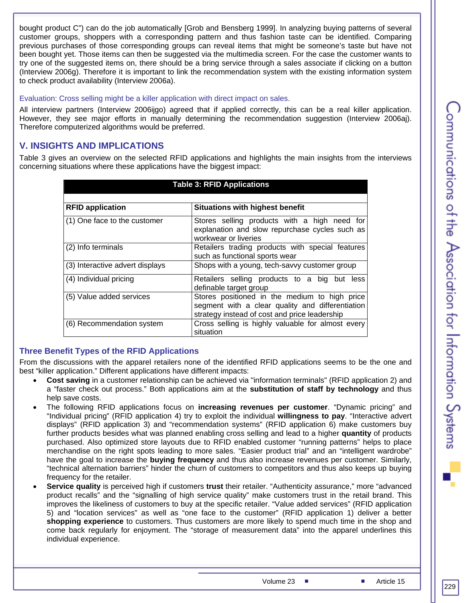communications of the Association for Information Oystems

bought product C") can do the job automatically [Grob and Bensberg 1999]. In analyzing buying patterns of several customer groups, shoppers with a corresponding pattern and thus fashion taste can be identified. Comparing previous purchases of those corresponding groups can reveal items that might be someone's taste but have not been bought yet. Those items can then be suggested via the multimedia screen. For the case the customer wants to try one of the suggested items on, there should be a bring service through a sales associate if clicking on a button (Interview 2006g). Therefore it is important to link the recommendation system with the existing information system to check product availability (Interview 2006a).

#### Evaluation: Cross selling might be a killer application with direct impact on sales.

All interview partners (Interview 2006ijgo) agreed that if applied correctly, this can be a real killer application. However, they see major efforts in manually determining the recommendation suggestion (Interview 2006aj). Therefore computerized algorithms would be preferred.

#### **V. INSIGHTS AND IMPLICATIONS**

Table 3 gives an overview on the selected RFID applications and highlights the main insights from the interviews concerning situations where these applications have the biggest impact:

| <b>Table 3: RFID Applications</b>                                 |                                                                                                                                                    |  |  |  |
|-------------------------------------------------------------------|----------------------------------------------------------------------------------------------------------------------------------------------------|--|--|--|
| <b>RFID application</b><br><b>Situations with highest benefit</b> |                                                                                                                                                    |  |  |  |
|                                                                   |                                                                                                                                                    |  |  |  |
| (1) One face to the customer                                      | Stores selling products with a high need for<br>explanation and slow repurchase cycles such as<br>workwear or liveries                             |  |  |  |
| (2) Info terminals                                                | Retailers trading products with special features<br>such as functional sports wear                                                                 |  |  |  |
| (3) Interactive advert displays                                   | Shops with a young, tech-savvy customer group                                                                                                      |  |  |  |
| (4) Individual pricing                                            | Retailers selling products to a big but less<br>definable target group                                                                             |  |  |  |
| (5) Value added services                                          | Stores positioned in the medium to high price<br>segment with a clear quality and differentiation<br>strategy instead of cost and price leadership |  |  |  |
| (6) Recommendation system                                         | Cross selling is highly valuable for almost every<br>situation                                                                                     |  |  |  |

#### **Three Benefit Types of the RFID Applications**

From the discussions with the apparel retailers none of the identified RFID applications seems to be the one and best "killer application." Different applications have different impacts:

- **Cost saving** in a customer relationship can be achieved via "information terminals" (RFID application 2) and a "faster check out process." Both applications aim at the **substitution of staff by technology** and thus help save costs.
- The following RFID applications focus on **increasing revenues per customer**. "Dynamic pricing" and "Individual pricing" (RFID application 4) try to exploit the individual **willingness to pay**. "Interactive advert displays" (RFID application 3) and "recommendation systems" (RFID application 6) make customers buy further products besides what was planned enabling cross selling and lead to a higher **quantity** of products purchased. Also optimized store layouts due to RFID enabled customer "running patterns" helps to place merchandise on the right spots leading to more sales. "Easier product trial" and an "intelligent wardrobe" have the goal to increase the **buying frequency** and thus also increase revenues per customer. Similarly, "technical alternation barriers" hinder the churn of customers to competitors and thus also keeps up buying frequency for the retailer.
- **Service quality** is perceived high if customers **trust** their retailer. "Authenticity assurance," more "advanced product recalls" and the "signalling of high service quality" make customers trust in the retail brand. This improves the likeliness of customers to buy at the specific retailer. "Value added services" (RFID application 5) and "location services" as well as "one face to the customer" (RFID application 1) deliver a better **shopping experience** to customers. Thus customers are more likely to spend much time in the shop and come back regularly for enjoyment. The "storage of measurement data" into the apparel underlines this individual experience.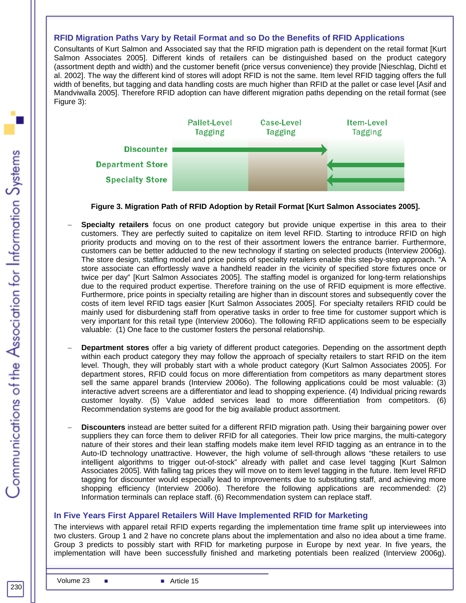#### **RFID Migration Paths Vary by Retail Format and so Do the Benefits of RFID Applications**

Consultants of Kurt Salmon and Associated say that the RFID migration path is dependent on the retail format [Kurt Salmon Associates 2005]. Different kinds of retailers can be distinguished based on the product category (assortment depth and width) and the customer benefit (price versus convenience) they provide [Nieschlag, Dichtl et al. 2002]. The way the different kind of stores will adopt RFID is not the same. Item level RFID tagging offers the full width of benefits, but tagging and data handling costs are much higher than RFID at the pallet or case level [Asif and Mandviwalla 2005]. Therefore RFID adoption can have different migration paths depending on the retail format (see Figure 3):



#### **Figure 3. Migration Path of RFID Adoption by Retail Format [Kurt Salmon Associates 2005].**

- − **Specialty retailers** focus on one product category but provide unique expertise in this area to their customers. They are perfectly suited to capitalize on item level RFID. Starting to introduce RFID on high priority products and moving on to the rest of their assortment lowers the entrance barrier. Furthermore, customers can be better adducted to the new technology if starting on selected products (Interview 2006g). The store design, staffing model and price points of specialty retailers enable this step-by-step approach. "A store associate can effortlessly wave a handheld reader in the vicinity of specified store fixtures once or twice per day" [Kurt Salmon Associates 2005]. The staffing model is organized for long-term relationships due to the required product expertise. Therefore training on the use of RFID equipment is more effective. Furthermore, price points in specialty retailing are higher than in discount stores and subsequently cover the costs of item level RFID tags easier [Kurt Salmon Associates 2005]. For specialty retailers RFID could be mainly used for disburdening staff from operative tasks in order to free time for customer support which is very important for this retail type (Interview 2006o). The following RFID applications seem to be especially valuable: (1) One face to the customer fosters the personal relationship.
- − **Department stores** offer a big variety of different product categories. Depending on the assortment depth within each product category they may follow the approach of specialty retailers to start RFID on the item level. Though, they will probably start with a whole product category (Kurt Salmon Associates 2005]. For department stores, RFID could focus on more differentiation from competitors as many department stores sell the same apparel brands (Interview 2006o). The following applications could be most valuable: (3) interactive advert screens are a differentiator and lead to shopping experience. (4) Individual pricing rewards customer loyalty. (5) Value added services lead to more differentiation from competitors. (6) Recommendation systems are good for the big available product assortment.
- − **Discounters** instead are better suited for a different RFID migration path. Using their bargaining power over suppliers they can force them to deliver RFID for all categories. Their low price margins, the multi-category nature of their stores and their lean staffing models make item level RFID tagging as an entrance in to the Auto-ID technology unattractive. However, the high volume of sell-through allows "these retailers to use intelligent algorithms to trigger out-of-stock" already with pallet and case level tagging [Kurt Salmon Associates 2005]. With falling tag prices they will move on to item level tagging in the future. Item level RFID tagging for discounter would especially lead to improvements due to substituting staff, and achieving more shopping efficiency (Interview 2006o). Therefore the following applications are recommended: (2) Information terminals can replace staff. (6) Recommendation system can replace staff.

#### **In Five Years First Apparel Retailers Will Have Implemented RFID for Marketing**

The interviews with apparel retail RFID experts regarding the implementation time frame split up interviewees into two clusters. Group 1 and 2 have no concrete plans about the implementation and also no idea about a time frame. Group 3 predicts to possibly start with RFID for marketing purpose in Europe by next year. In five years, the implementation will have been successfully finished and marketing potentials been realized (Interview 2006g).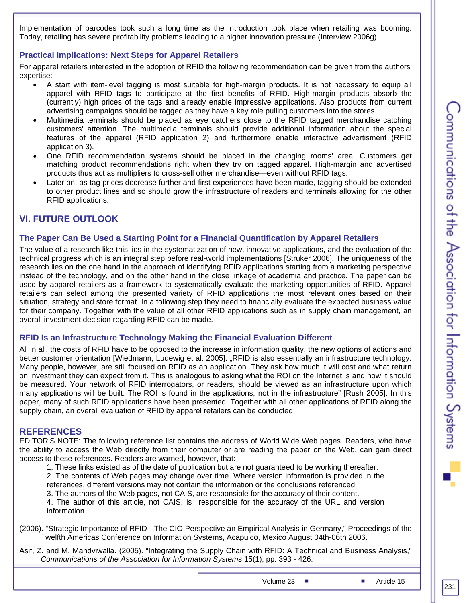Implementation of barcodes took such a long time as the introduction took place when retailing was booming. Today, retailing has severe profitability problems leading to a higher innovation pressure (Interview 2006g).

#### **Practical Implications: Next Steps for Apparel Retailers**

For apparel retailers interested in the adoption of RFID the following recommendation can be given from the authors' expertise:

- A start with item-level tagging is most suitable for high-margin products. It is not necessary to equip all apparel with RFID tags to participate at the first benefits of RFID. High-margin products absorb the (currently) high prices of the tags and already enable impressive applications. Also products from current advertising campaigns should be tagged as they have a key role pulling customers into the stores.
- Multimedia terminals should be placed as eye catchers close to the RFID tagged merchandise catching customers' attention. The multimedia terminals should provide additional information about the special features of the apparel (RFID application 2) and furthermore enable interactive advertisment (RFID application 3).
- One RFID recommendation systems should be placed in the changing rooms' area. Customers get matching product recommendations right when they try on tagged apparel. High-margin and advertised products thus act as multipliers to cross-sell other merchandise—even without RFID tags.
- Later on, as tag prices decrease further and first experiences have been made, tagging should be extended to other product lines and so should grow the infrastructure of readers and terminals allowing for the other RFID applications.

#### **VI. FUTURE OUTLOOK**

#### **The Paper Can Be Used a Starting Point for a Financial Quantification by Apparel Retailers**

The value of a research like this lies in the systematization of new, innovative applications, and the evaluation of the technical progress which is an integral step before real-world implementations [Strüker 2006]. The uniqueness of the research lies on the one hand in the approach of identifying RFID applications starting from a marketing perspective instead of the technology, and on the other hand in the close linkage of academia and practice. The paper can be used by apparel retailers as a framework to systematically evaluate the marketing opportunities of RFID. Apparel retailers can select among the presented variety of RFID applications the most relevant ones based on their situation, strategy and store format. In a following step they need to financially evaluate the expected business value for their company. Together with the value of all other RFID applications such as in supply chain management, an overall investment decision regarding RFID can be made.

#### **RFID Is an Infrastructure Technology Making the Financial Evaluation Different**

All in all, the costs of RFID have to be opposed to the increase in information quality, the new options of actions and better customer orientation [Wiedmann, Ludewig et al. 2005]. "RFID is also essentially an infrastructure technology. Many people, however, are still focused on RFID as an application. They ask how much it will cost and what return on investment they can expect from it. This is analogous to asking what the ROI on the Internet is and how it should be measured. Your network of RFID interrogators, or readers, should be viewed as an infrastructure upon which many applications will be built. The ROI is found in the applications, not in the infrastructure" [Rush 2005]. In this paper, many of such RFID applications have been presented. Together with all other applications of RFID along the supply chain, an overall evaluation of RFID by apparel retailers can be conducted.

#### **REFERENCES**

EDITOR'S NOTE: The following reference list contains the address of World Wide Web pages. Readers, who have the ability to access the Web directly from their computer or are reading the paper on the Web, can gain direct access to these references. Readers are warned, however, that:

1. These links existed as of the date of publication but are not guaranteed to be working thereafter.

2. The contents of Web pages may change over time. Where version information is provided in the references, different versions may not contain the information or the conclusions referenced.

3. The authors of the Web pages, not CAIS, are responsible for the accuracy of their content.

4. The author of this article, not CAIS, is responsible for the accuracy of the URL and version information.

(2006). "Strategic Importance of RFID - The CIO Perspective an Empirical Analysis in Germany," Proceedings of the Twelfth Americas Conference on Information Systems, Acapulco, Mexico August 04th-06th 2006.

Asif, Z. and M. Mandviwalla. (2005). "Integrating the Supply Chain with RFID: A Technical and Business Analysis," *Communications of the Association for Information Systems* 15(1), pp. 393 - 426.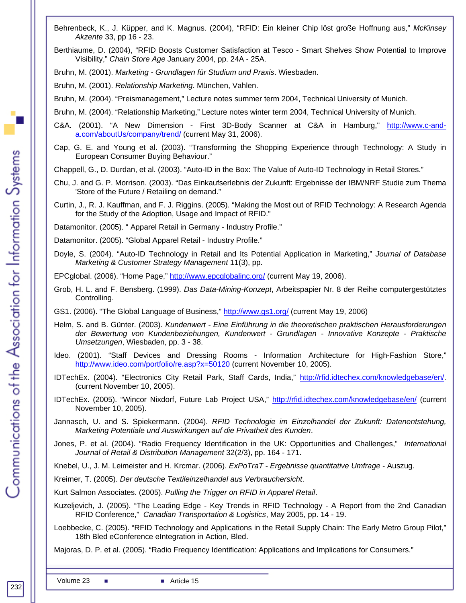- Behrenbeck, K., J. Küpper, and K. Magnus. (2004), "RFID: Ein kleiner Chip löst große Hoffnung aus," *McKinsey Akzente* 33, pp 16 - 23.
- Berthiaume, D. (2004), "RFID Boosts Customer Satisfaction at Tesco Smart Shelves Show Potential to Improve Visibility," *Chain Store Age* January 2004, pp. 24A - 25A.
- Bruhn, M. (2001). *Marketing Grundlagen für Studium und Praxis*. Wiesbaden.
- Bruhn, M. (2001). *Relationship Marketing*. München, Vahlen.
- Bruhn, M. (2004). "Preismanagement," Lecture notes summer term 2004, Technical University of Munich.
- Bruhn, M. (2004). "Relationship Marketing," Lecture notes winter term 2004, Technical University of Munich.
- C&A. (2001). "A New Dimension First 3D-Body Scanner at C&A in Hamburg," http://www.c-anda.com/aboutUs/company/trend/ (current May 31, 2006).
- Cap, G. E. and Young et al. (2003). "Transforming the Shopping Experience through Technology: A Study in European Consumer Buying Behaviour."
- Chappell, G., D. Durdan, et al. (2003). "Auto-ID in the Box: The Value of Auto-ID Technology in Retail Stores."
- Chu, J. and G. P. Morrison. (2003). "Das Einkaufserlebnis der Zukunft: Ergebnisse der IBM/NRF Studie zum Thema 'Store of the Future / Retailing on demand."
- Curtin, J., R. J. Kauffman, and F. J. Riggins. (2005). "Making the Most out of RFID Technology: A Research Agenda for the Study of the Adoption, Usage and Impact of RFID."
- Datamonitor. (2005). " Apparel Retail in Germany Industry Profile."
- Datamonitor. (2005). "Global Apparel Retail Industry Profile."
- Doyle, S. (2004). "Auto-ID Technology in Retail and Its Potential Application in Marketing," *Journal of Database Marketing & Customer Strategy Management* 11(3), pp.
- EPCglobal. (2006). "Home Page," http://www.epcglobalinc.org/ (current May 19, 2006).
- Grob, H. L. and F. Bensberg. (1999). *Das Data-Mining-Konzept*, Arbeitspapier Nr. 8 der Reihe computergestütztes Controlling.
- GS1. (2006). "The Global Language of Business," http://www.gs1.org/ (current May 19, 2006)
- Helm, S. and B. Günter. (2003). *Kundenwert Eine Einführung in die theoretischen praktischen Herausforderungen der Bewertung von Kundenbeziehungen, Kundenwert - Grundlagen - Innovative Konzepte - Praktische Umsetzungen*, Wiesbaden, pp. 3 - 38.
- Ideo. (2001). "Staff Devices and Dressing Rooms Information Architecture for High-Fashion Store," http://www.ideo.com/portfolio/re.asp?x=50120 (current November 10, 2005).
- IDTechEx. (2004). "Electronics City Retail Park, Staff Cards, India," http://rfid.idtechex.com/knowledgebase/en/. (current November 10, 2005).
- IDTechEx. (2005). "Wincor Nixdorf, Future Lab Project USA," http://rfid.idtechex.com/knowledgebase/en/ (current November 10, 2005).
- Jannasch, U. and S. Spiekermann. (2004). *RFID Technologie im Einzelhandel der Zukunft: Datenentstehung, Marketing Potentiale und Auswirkungen auf die Privatheit des Kunden*.
- Jones, P. et al. (2004). "Radio Frequency Identification in the UK: Opportunities and Challenges," *International Journal of Retail & Distribution Management* 32(2/3), pp. 164 - 171.

Knebel, U., J. M. Leimeister and H. Krcmar. (2006). *ExPoTraT - Ergebnisse quantitative Umfrage* - Auszug.

Kreimer, T. (2005). *Der deutsche Textileinzelhandel aus Verbrauchersicht*.

Kurt Salmon Associates. (2005). *Pulling the Trigger on RFID in Apparel Retail*.

- Kuzeljevich, J. (2005). "The Leading Edge Key Trends in RFID Technology A Report from the 2nd Canadian RFID Conference," *Canadian Transportation & Logistics*, May 2005, pp. 14 - 19.
- Loebbecke, C. (2005). "RFID Technology and Applications in the Retail Supply Chain: The Early Metro Group Pilot," 18th Bled eConference eIntegration in Action, Bled.

Majoras, D. P. et al. (2005). "Radio Frequency Identification: Applications and Implications for Consumers."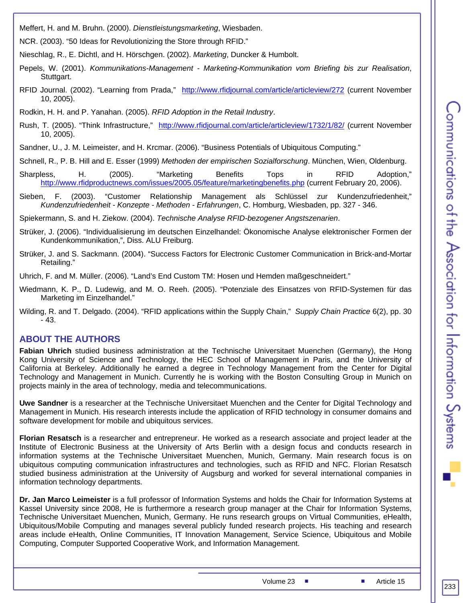Meffert, H. and M. Bruhn. (2000). *Dienstleistungsmarketing*, Wiesbaden.

NCR. (2003). "50 Ideas for Revolutionizing the Store through RFID."

Nieschlag, R., E. Dichtl, and H. Hörschgen. (2002). *Marketing*, Duncker & Humbolt.

- Pepels, W. (2001). *Kommunikations-Management Marketing-Kommunikation vom Briefing bis zur Realisation*, Stuttgart.
- RFID Journal. (2002). "Learning from Prada," http://www.rfidjournal.com/article/articleview/272 (current November 10, 2005).

Rodkin, H. H. and P. Yanahan. (2005). *RFID Adoption in the Retail Industry*.

- Rush, T. (2005). "Think Infrastructure," http://www.rfidjournal.com/article/articleview/1732/1/82/ (current November 10, 2005).
- Sandner, U., J. M. Leimeister, and H. Krcmar. (2006). "Business Potentials of Ubiquitous Computing."

Schnell, R., P. B. Hill and E. Esser (1999) *Methoden der empirischen Sozialforschung*. München, Wien, Oldenburg.

- Sharpless, H. (2005). "Marketing Benefits Tops in RFID Adoption," http://www.rfidproductnews.com/issues/2005.05/feature/marketingbenefits.php (current February 20, 2006).
- Sieben, F. (2003). "Customer Relationship Management als Schlüssel zur Kundenzufriedenheit," *Kundenzufriedenheit - Konzepte - Methoden - Erfahrungen*, C. Homburg, Wiesbaden, pp. 327 - 346.

Spiekermann, S. and H. Ziekow. (2004). *Technische Analyse RFID-bezogener Angstszenarien*.

- Strüker, J. (2006). "Individualisierung im deutschen Einzelhandel: Ökonomische Analyse elektronischer Formen der Kundenkommunikation,", Diss. ALU Freiburg.
- Strüker, J. and S. Sackmann. (2004). "Success Factors for Electronic Customer Communication in Brick-and-Mortar Retailing."

Uhrich, F. and M. Müller. (2006). "Land's End Custom TM: Hosen und Hemden maßgeschneidert."

- Wiedmann, K. P., D. Ludewig, and M. O. Reeh. (2005). "Potenziale des Einsatzes von RFID-Systemen für das Marketing im Einzelhandel."
- Wilding, R. and T. Delgado. (2004). "RFID applications within the Supply Chain," *Supply Chain Practice* 6(2), pp. 30 - 43.

#### **ABOUT THE AUTHORS**

**Fabian Uhrich** studied business administration at the Technische Universitaet Muenchen (Germany), the Hong Kong University of Science and Technology, the HEC School of Management in Paris, and the University of California at Berkeley. Additionally he earned a degree in Technology Management from the Center for Digital Technology and Management in Munich. Currently he is working with the Boston Consulting Group in Munich on projects mainly in the area of technology, media and telecommunications.

**Uwe Sandner** is a researcher at the Technische Universitaet Muenchen and the Center for Digital Technology and Management in Munich. His research interests include the application of RFID technology in consumer domains and software development for mobile and ubiquitous services.

**Florian Resatsch** is a researcher and entrepreneur. He worked as a research associate and project leader at the Institute of Electronic Business at the University of Arts Berlin with a design focus and conducts research in information systems at the Technische Universitaet Muenchen, Munich, Germany. Main research focus is on ubiquitous computing communication infrastructures and technologies, such as RFID and NFC. Florian Resatsch studied business administration at the University of Augsburg and worked for several international companies in information technology departments.

**Dr. Jan Marco Leimeister** is a full professor of Information Systems and holds the Chair for Information Systems at Kassel University since 2008, He is furthermore a research group manager at the Chair for Information Systems, Technische Universitaet Muenchen, Munich, Germany. He runs research groups on Virtual Communities, eHealth, Ubiquitous/Mobile Computing and manages several publicly funded research projects. His teaching and research areas include eHealth, Online Communities, IT Innovation Management, Service Science, Ubiquitous and Mobile Computing, Computer Supported Cooperative Work, and Information Management.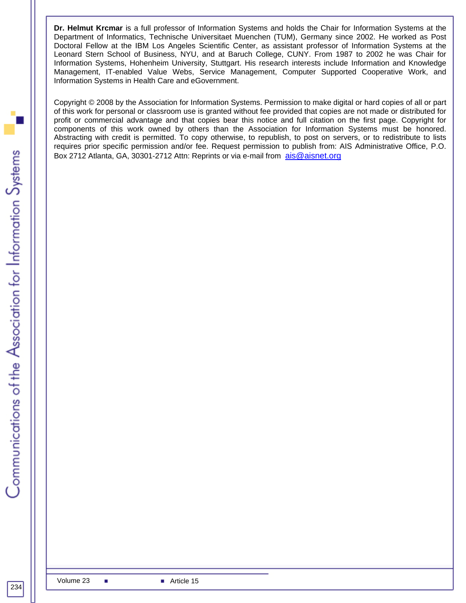**Dr. Helmut Krcmar** is a full professor of Information Systems and holds the Chair for Information Systems at the Department of Informatics, Technische Universitaet Muenchen (TUM), Germany since 2002. He worked as Post Doctoral Fellow at the IBM Los Angeles Scientific Center, as assistant professor of Information Systems at the Leonard Stern School of Business, NYU, and at Baruch College, CUNY. From 1987 to 2002 he was Chair for Information Systems, Hohenheim University, Stuttgart. His research interests include Information and Knowledge Management, IT-enabled Value Webs, Service Management, Computer Supported Cooperative Work, and Information Systems in Health Care and eGovernment.

Copyright © 2008 by the Association for Information Systems. Permission to make digital or hard copies of all or part of this work for personal or classroom use is granted without fee provided that copies are not made or distributed for profit or commercial advantage and that copies bear this notice and full citation on the first page. Copyright for components of this work owned by others than the Association for Information Systems must be honored. Abstracting with credit is permitted. To copy otherwise, to republish, to post on servers, or to redistribute to lists requires prior specific permission and/or fee. Request permission to publish from: AIS Administrative Office, P.O. Box 2712 Atlanta, GA, 30301-2712 Attn: Reprints or via e-mail from ais@aisnet.org